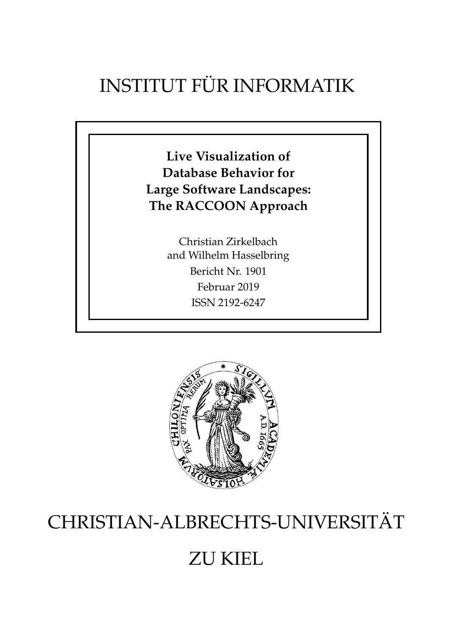# INSTITUT FÜR INFORMATIK

**Live Visualization of Database Behavior for Large Software Landscapes: The RACCOON Approach**

> Christian Zirkelbach and Wilhelm Hasselbring Bericht Nr. 1901 Februar 2019 ISSN 2192-6247



## CHRISTIAN-ALBRECHTS-UNIVERSITAT¨

## ZU KIEL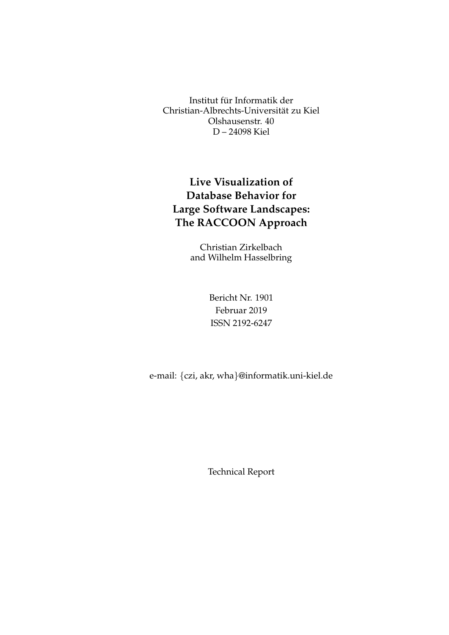Institut für Informatik der Christian-Albrechts-Universität zu Kiel Olshausenstr. 40 D – 24098 Kiel

### **Live Visualization of Database Behavior for Large Software Landscapes: The RACCOON Approach**

Christian Zirkelbach and Wilhelm Hasselbring

> Bericht Nr. 1901 Februar 2019 ISSN 2192-6247

e-mail: {czi, akr, wha}@informatik.uni-kiel.de

Technical Report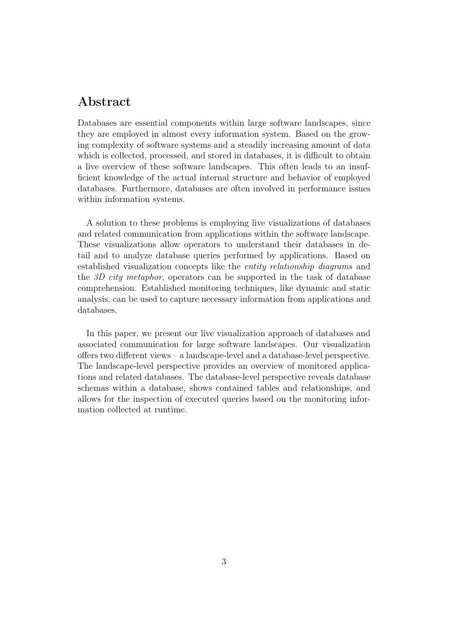#### Abstract

Databases are essential components within large software landscapes, since they are employed in almost every information system. Based on the growing complexity of software systems and a steadily increasing amount of data which is collected, processed, and stored in databases, it is difficult to obtain a live overview of these software landscapes. This often leads to an insufficient knowledge of the actual internal structure and behavior of employed databases. Furthermore, databases are often involved in performance issues within information systems.

A solution to these problems is employing live visualizations of databases and related communication from applications within the software landscape. These visualizations allow operators to understand their databases in detail and to analyze database queries performed by applications. Based on established visualization concepts like the entity relationship diagrams and the 3D city metaphor, operators can be supported in the task of database comprehension. Established monitoring techniques, like dynamic and static analysis, can be used to capture necessary information from applications and databases.

In this paper, we present our live visualization approach of databases and associated communication for large software landscapes. Our visualization offers two different views – a landscape-level and a database-level perspective. The landscape-level perspective provides an overview of monitored applications and related databases. The database-level perspective reveals database schemas within a database, shows contained tables and relationships, and allows for the inspection of executed queries based on the monitoring information collected at runtime.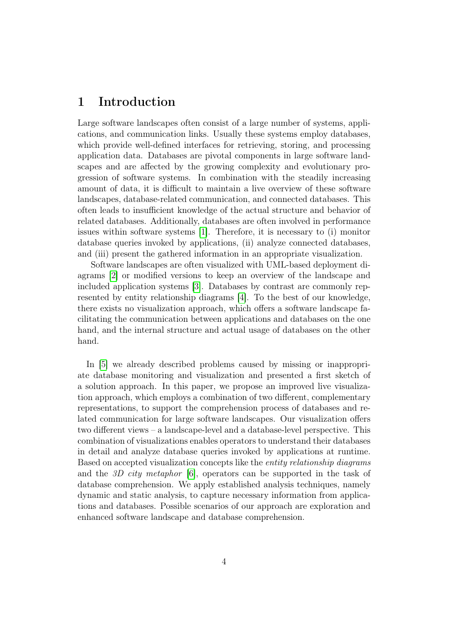#### 1 Introduction

Large software landscapes often consist of a large number of systems, applications, and communication links. Usually these systems employ databases, which provide well-defined interfaces for retrieving, storing, and processing application data. Databases are pivotal components in large software landscapes and are affected by the growing complexity and evolutionary progression of software systems. In combination with the steadily increasing amount of data, it is difficult to maintain a live overview of these software landscapes, database-related communication, and connected databases. This often leads to insufficient knowledge of the actual structure and behavior of related databases. Additionally, databases are often involved in performance issues within software systems [\[1\]](#page-14-0). Therefore, it is necessary to (i) monitor database queries invoked by applications, (ii) analyze connected databases, and (iii) present the gathered information in an appropriate visualization.

Software landscapes are often visualized with UML-based deployment diagrams [\[2\]](#page-14-1) or modified versions to keep an overview of the landscape and included application systems [\[3\]](#page-14-2). Databases by contrast are commonly represented by entity relationship diagrams [\[4\]](#page-14-3). To the best of our knowledge, there exists no visualization approach, which offers a software landscape facilitating the communication between applications and databases on the one hand, and the internal structure and actual usage of databases on the other hand.

In [\[5\]](#page-14-4) we already described problems caused by missing or inappropriate database monitoring and visualization and presented a first sketch of a solution approach. In this paper, we propose an improved live visualization approach, which employs a combination of two different, complementary representations, to support the comprehension process of databases and related communication for large software landscapes. Our visualization offers two different views – a landscape-level and a database-level perspective. This combination of visualizations enables operators to understand their databases in detail and analyze database queries invoked by applications at runtime. Based on accepted visualization concepts like the entity relationship diagrams and the 3D city metaphor [\[6\]](#page-14-5), operators can be supported in the task of database comprehension. We apply established analysis techniques, namely dynamic and static analysis, to capture necessary information from applications and databases. Possible scenarios of our approach are exploration and enhanced software landscape and database comprehension.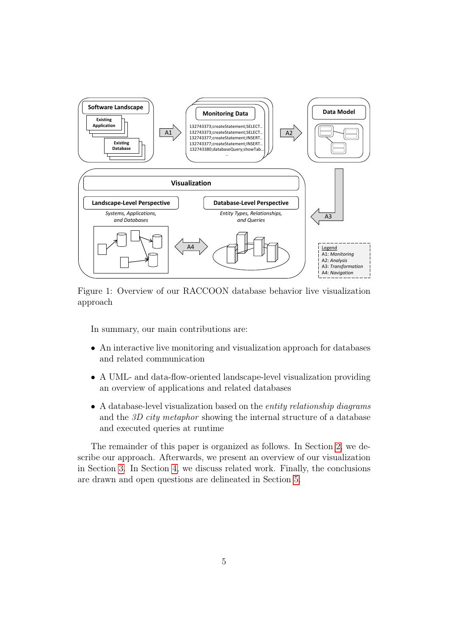<span id="page-4-0"></span>

Figure 1: Overview of our RACCOON database behavior live visualization approach

In summary, our main contributions are:

- An interactive live monitoring and visualization approach for databases and related communication
- A UML- and data-flow-oriented landscape-level visualization providing an overview of applications and related databases
- A database-level visualization based on the *entity relationship diagrams* and the 3D city metaphor showing the internal structure of a database and executed queries at runtime

The remainder of this paper is organized as follows. In Section [2,](#page-5-0) we describe our approach. Afterwards, we present an overview of our visualization in Section [3.](#page-6-0) In Section [4,](#page-12-0) we discuss related work. Finally, the conclusions are drawn and open questions are delineated in Section [5.](#page-13-0)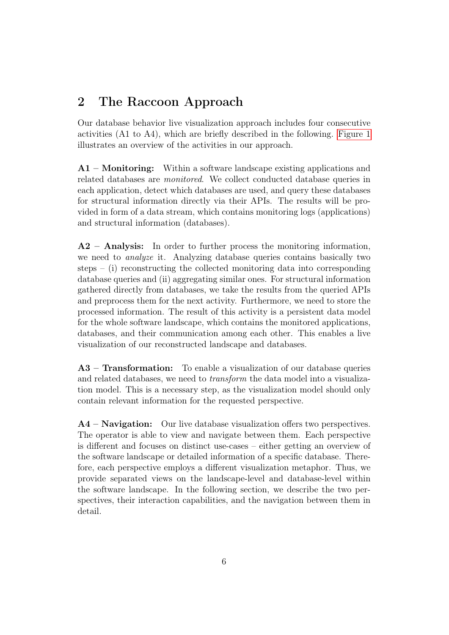#### <span id="page-5-0"></span>2 The Raccoon Approach

Our database behavior live visualization approach includes four consecutive activities (A1 to A4), which are briefly described in the following. [Figure 1](#page-4-0) illustrates an overview of the activities in our approach.

A1 – Monitoring: Within a software landscape existing applications and related databases are monitored. We collect conducted database queries in each application, detect which databases are used, and query these databases for structural information directly via their APIs. The results will be provided in form of a data stream, which contains monitoring logs (applications) and structural information (databases).

A2 – Analysis: In order to further process the monitoring information, we need to analyze it. Analyzing database queries contains basically two steps  $-$  (i) reconstructing the collected monitoring data into corresponding database queries and (ii) aggregating similar ones. For structural information gathered directly from databases, we take the results from the queried APIs and preprocess them for the next activity. Furthermore, we need to store the processed information. The result of this activity is a persistent data model for the whole software landscape, which contains the monitored applications, databases, and their communication among each other. This enables a live visualization of our reconstructed landscape and databases.

A3 – Transformation: To enable a visualization of our database queries and related databases, we need to transform the data model into a visualization model. This is a necessary step, as the visualization model should only contain relevant information for the requested perspective.

A4 – Navigation: Our live database visualization offers two perspectives. The operator is able to view and navigate between them. Each perspective is different and focuses on distinct use-cases – either getting an overview of the software landscape or detailed information of a specific database. Therefore, each perspective employs a different visualization metaphor. Thus, we provide separated views on the landscape-level and database-level within the software landscape. In the following section, we describe the two perspectives, their interaction capabilities, and the navigation between them in detail.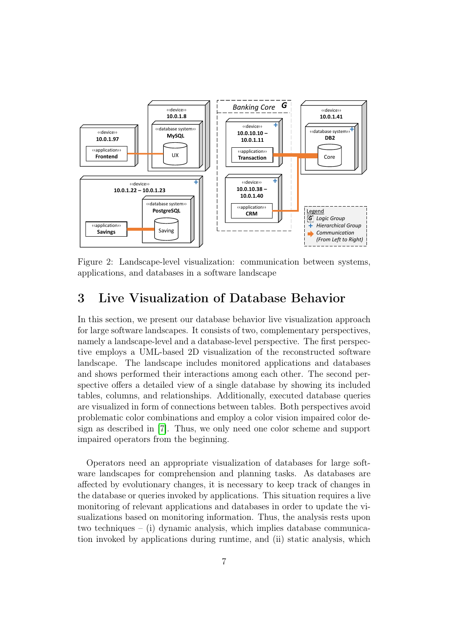<span id="page-6-1"></span>

Figure 2: Landscape-level visualization: communication between systems, applications, and databases in a software landscape

#### <span id="page-6-0"></span>3 Live Visualization of Database Behavior

In this section, we present our database behavior live visualization approach for large software landscapes. It consists of two, complementary perspectives, namely a landscape-level and a database-level perspective. The first perspective employs a UML-based 2D visualization of the reconstructed software landscape. The landscape includes monitored applications and databases and shows performed their interactions among each other. The second perspective offers a detailed view of a single database by showing its included tables, columns, and relationships. Additionally, executed database queries are visualized in form of connections between tables. Both perspectives avoid problematic color combinations and employ a color vision impaired color design as described in [\[7\]](#page-14-6). Thus, we only need one color scheme and support impaired operators from the beginning.

Operators need an appropriate visualization of databases for large software landscapes for comprehension and planning tasks. As databases are affected by evolutionary changes, it is necessary to keep track of changes in the database or queries invoked by applications. This situation requires a live monitoring of relevant applications and databases in order to update the visualizations based on monitoring information. Thus, the analysis rests upon two techniques  $-$  (i) dynamic analysis, which implies database communication invoked by applications during runtime, and (ii) static analysis, which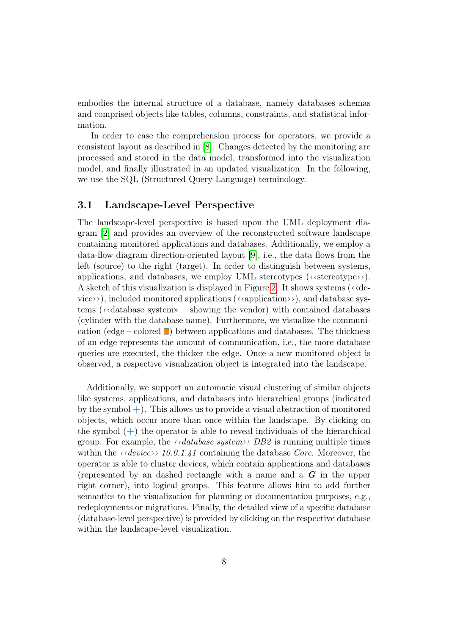embodies the internal structure of a database, namely databases schemas and comprised objects like tables, columns, constraints, and statistical information.

In order to ease the comprehension process for operators, we provide a consistent layout as described in [\[8\]](#page-14-7). Changes detected by the monitoring are processed and stored in the data model, transformed into the visualization model, and finally illustrated in an updated visualization. In the following, we use the SQL (Structured Query Language) terminology.

#### 3.1 Landscape-Level Perspective

The landscape-level perspective is based upon the UML deployment diagram [\[2\]](#page-14-1) and provides an overview of the reconstructed software landscape containing monitored applications and databases. Additionally, we employ a data-flow diagram direction-oriented layout [\[9\]](#page-14-8), i.e., the data flows from the left (source) to the right (target). In order to distinguish between systems, applications, and databases, we employ UML stereotypes (‹‹stereotype››). A sketch of this visualization is displayed in Figure [2.](#page-6-1) It shows systems ( $\langle \langle de$ vice>>), included monitored applications ( $\langle \langle \text{application} \rangle \rangle$ ), and database systems ( $\langle \langle \langle \rangle \rangle$  database systems – showing the vendor) with contained databases (cylinder with the database name). Furthermore, we visualize the communication (edge – colored  $\Box$ ) between applications and databases. The thickness of an edge represents the amount of communication, i.e., the more database queries are executed, the thicker the edge. Once a new monitored object is observed, a respective visualization object is integrated into the landscape.

Additionally, we support an automatic visual clustering of similar objects like systems, applications, and databases into hierarchical groups (indicated by the symbol  $+$ ). This allows us to provide a visual abstraction of monitored objects, which occur more than once within the landscape. By clicking on the symbol  $(+)$  the operator is able to reveal individuals of the hierarchical group. For example, the  $\langle \langle database\; system \rangle \rangle DB2$  is running multiple times within the  $\langle \langle device \rangle \rangle$  10.0.1.41 containing the database Core. Moreover, the operator is able to cluster devices, which contain applications and databases (represented by an dashed rectangle with a name and a  $G$  in the upper right corner), into logical groups. This feature allows him to add further semantics to the visualization for planning or documentation purposes, e.g., redeployments or migrations. Finally, the detailed view of a specific database (database-level perspective) is provided by clicking on the respective database within the landscape-level visualization.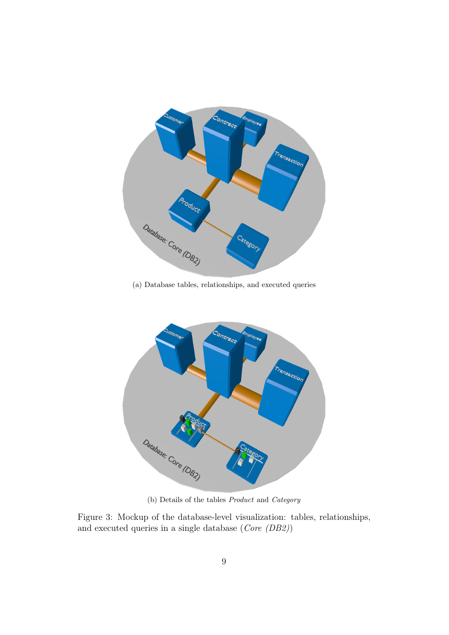<span id="page-8-0"></span>

<span id="page-8-1"></span>(b) Details of the tables Product and Category

Figure 3: Mockup of the database-level visualization: tables, relationships, and executed queries in a single database (Core (DB2))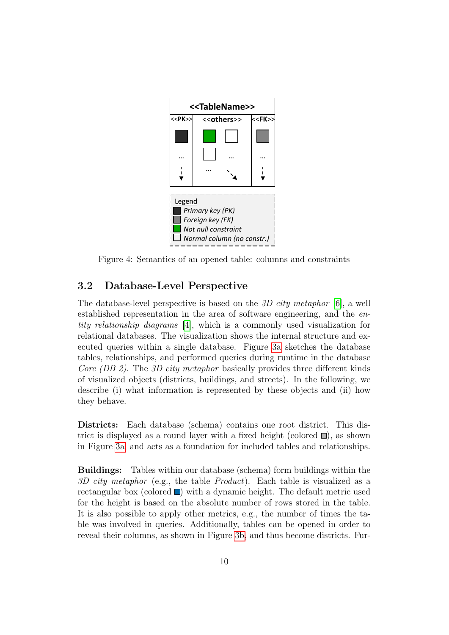<span id="page-9-0"></span>

Figure 4: Semantics of an opened table: columns and constraints

#### 3.2 Database-Level Perspective

The database-level perspective is based on the 3D city metaphor [\[6\]](#page-14-5), a well established representation in the area of software engineering, and the entity relationship diagrams [\[4\]](#page-14-3), which is a commonly used visualization for relational databases. The visualization shows the internal structure and executed queries within a single database. Figure [3a](#page-8-0) sketches the database tables, relationships, and performed queries during runtime in the database Core (DB 2). The 3D city metaphor basically provides three different kinds of visualized objects (districts, buildings, and streets). In the following, we describe (i) what information is represented by these objects and (ii) how they behave.

Districts: Each database (schema) contains one root district. This district is displayed as a round layer with a fixed height (colored  $\Box$ ), as shown in Figure [3a,](#page-8-0) and acts as a foundation for included tables and relationships.

Buildings: Tables within our database (schema) form buildings within the 3D city metaphor (e.g., the table  $Product$ ). Each table is visualized as a rectangular box (colored  $\Box$ ) with a dynamic height. The default metric used for the height is based on the absolute number of rows stored in the table. It is also possible to apply other metrics, e.g., the number of times the table was involved in queries. Additionally, tables can be opened in order to reveal their columns, as shown in Figure [3b,](#page-8-1) and thus become districts. Fur-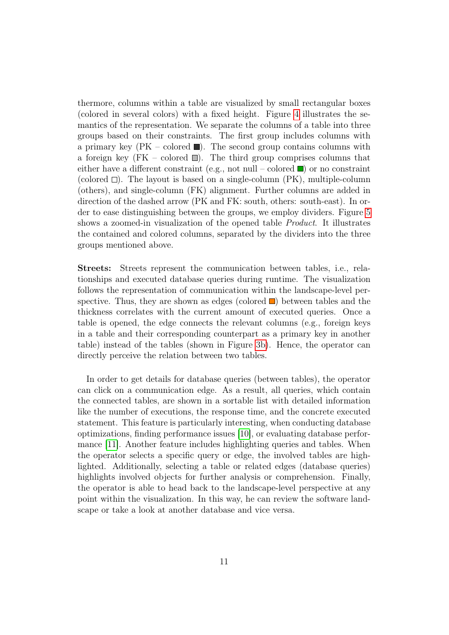thermore, columns within a table are visualized by small rectangular boxes (colored in several colors) with a fixed height. Figure [4](#page-9-0) illustrates the semantics of the representation. We separate the columns of a table into three groups based on their constraints. The first group includes columns with a primary key ( $PK$  – colored  $\blacksquare$ ). The second group contains columns with a foreign key (FK – colored  $\Box$ ). The third group comprises columns that either have a different constraint (e.g., not null – colored  $\blacksquare$ ) or no constraint (colored  $\square$ ). The layout is based on a single-column (PK), multiple-column (others), and single-column (FK) alignment. Further columns are added in direction of the dashed arrow (PK and FK: south, others: south-east). In order to ease distinguishing between the groups, we employ dividers. Figure [5](#page-11-0) shows a zoomed-in visualization of the opened table Product. It illustrates the contained and colored columns, separated by the dividers into the three groups mentioned above.

Streets: Streets represent the communication between tables, i.e., relationships and executed database queries during runtime. The visualization follows the representation of communication within the landscape-level perspective. Thus, they are shown as edges (colored  $\Box$ ) between tables and the thickness correlates with the current amount of executed queries. Once a table is opened, the edge connects the relevant columns (e.g., foreign keys in a table and their corresponding counterpart as a primary key in another table) instead of the tables (shown in Figure [3b\)](#page-8-1). Hence, the operator can directly perceive the relation between two tables.

In order to get details for database queries (between tables), the operator can click on a communication edge. As a result, all queries, which contain the connected tables, are shown in a sortable list with detailed information like the number of executions, the response time, and the concrete executed statement. This feature is particularly interesting, when conducting database optimizations, finding performance issues [\[10\]](#page-15-0), or evaluating database performance [\[11\]](#page-15-1). Another feature includes highlighting queries and tables. When the operator selects a specific query or edge, the involved tables are highlighted. Additionally, selecting a table or related edges (database queries) highlights involved objects for further analysis or comprehension. Finally, the operator is able to head back to the landscape-level perspective at any point within the visualization. In this way, he can review the software landscape or take a look at another database and vice versa.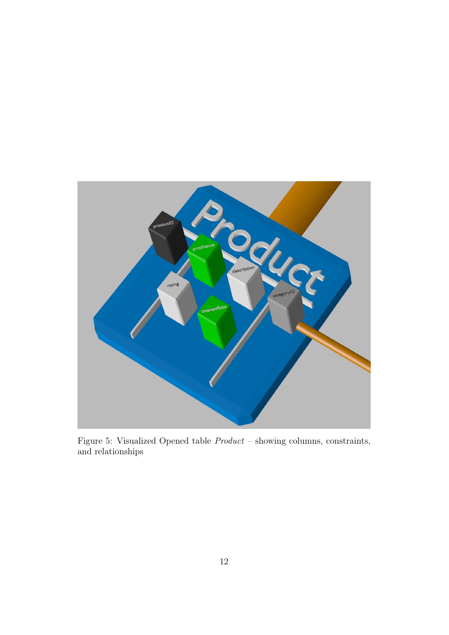<span id="page-11-0"></span>

Figure 5: Visualized Opened table  $Product$  – showing columns, constraints, and relationships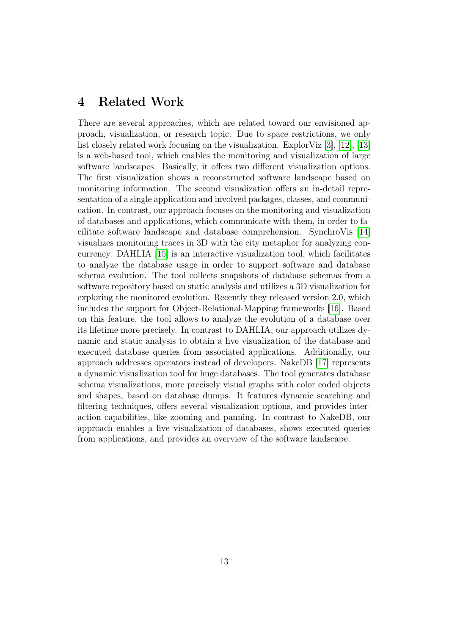#### <span id="page-12-0"></span>4 Related Work

There are several approaches, which are related toward our envisioned approach, visualization, or research topic. Due to space restrictions, we only list closely related work focusing on the visualization. ExplorViz [\[3\]](#page-14-2), [\[12\]](#page-15-2), [\[13\]](#page-15-3) is a web-based tool, which enables the monitoring and visualization of large software landscapes. Basically, it offers two different visualization options. The first visualization shows a reconstructed software landscape based on monitoring information. The second visualization offers an in-detail representation of a single application and involved packages, classes, and communication. In contrast, our approach focuses on the monitoring and visualization of databases and applications, which communicate with them, in order to facilitate software landscape and database comprehension. SynchroVis [\[14\]](#page-15-4) visualizes monitoring traces in 3D with the city metaphor for analyzing concurrency. DAHLIA [\[15\]](#page-15-5) is an interactive visualization tool, which facilitates to analyze the database usage in order to support software and database schema evolution. The tool collects snapshots of database schemas from a software repository based on static analysis and utilizes a 3D visualization for exploring the monitored evolution. Recently they released version 2.0, which includes the support for Object-Relational-Mapping frameworks [\[16\]](#page-15-6). Based on this feature, the tool allows to analyze the evolution of a database over its lifetime more precisely. In contrast to DAHLIA, our approach utilizes dynamic and static analysis to obtain a live visualization of the database and executed database queries from associated applications. Additionally, our approach addresses operators instead of developers. NakeDB [\[17\]](#page-15-7) represents a dynamic visualization tool for huge databases. The tool generates database schema visualizations, more precisely visual graphs with color coded objects and shapes, based on database dumps. It features dynamic searching and filtering techniques, offers several visualization options, and provides interaction capabilities, like zooming and panning. In contrast to NakeDB, our approach enables a live visualization of databases, shows executed queries from applications, and provides an overview of the software landscape.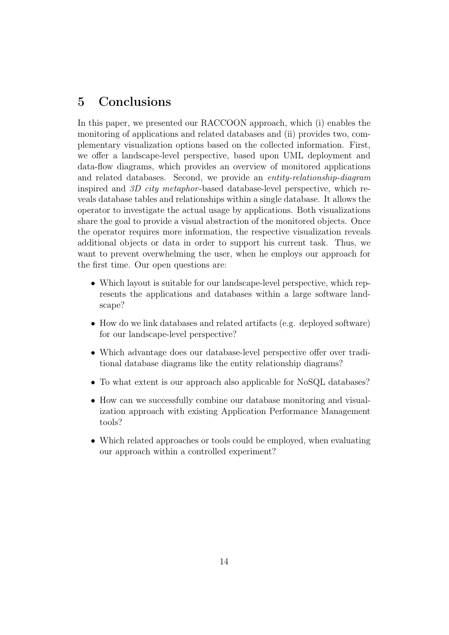### <span id="page-13-0"></span>5 Conclusions

In this paper, we presented our RACCOON approach, which (i) enables the monitoring of applications and related databases and (ii) provides two, complementary visualization options based on the collected information. First, we offer a landscape-level perspective, based upon UML deployment and data-flow diagrams, which provides an overview of monitored applications and related databases. Second, we provide an entity-relationship-diagram inspired and 3D city metaphor -based database-level perspective, which reveals database tables and relationships within a single database. It allows the operator to investigate the actual usage by applications. Both visualizations share the goal to provide a visual abstraction of the monitored objects. Once the operator requires more information, the respective visualization reveals additional objects or data in order to support his current task. Thus, we want to prevent overwhelming the user, when he employs our approach for the first time. Our open questions are:

- Which layout is suitable for our landscape-level perspective, which represents the applications and databases within a large software landscape?
- How do we link databases and related artifacts (e.g. deployed software) for our landscape-level perspective?
- Which advantage does our database-level perspective offer over traditional database diagrams like the entity relationship diagrams?
- To what extent is our approach also applicable for NoSQL databases?
- How can we successfully combine our database monitoring and visualization approach with existing Application Performance Management tools?
- Which related approaches or tools could be employed, when evaluating our approach within a controlled experiment?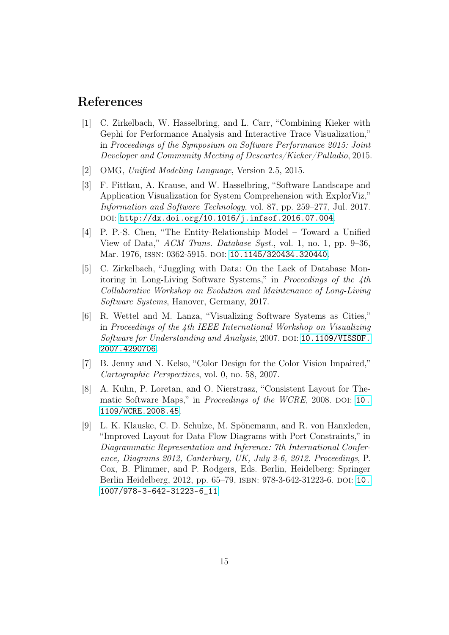#### References

- <span id="page-14-0"></span>[1] C. Zirkelbach, W. Hasselbring, and L. Carr, "Combining Kieker with Gephi for Performance Analysis and Interactive Trace Visualization," in Proceedings of the Symposium on Software Performance 2015: Joint Developer and Community Meeting of Descartes/Kieker/Palladio, 2015.
- <span id="page-14-1"></span>[2] OMG, Unified Modeling Language, Version 2.5, 2015.
- <span id="page-14-2"></span>[3] F. Fittkau, A. Krause, and W. Hasselbring, "Software Landscape and Application Visualization for System Comprehension with ExplorViz," Information and Software Technology, vol. 87, pp. 259–277, Jul. 2017. doi: [http://dx.doi.org/10.1016/j.infsof.2016.07.004](https://doi.org/http://dx.doi.org/10.1016/j.infsof.2016.07.004).
- <span id="page-14-3"></span>[4] P. P.-S. Chen, "The Entity-Relationship Model – Toward a Unified View of Data," ACM Trans. Database Syst., vol. 1, no. 1, pp. 9–36, Mar. 1976, ISSN: 0362-5915. DOI: [10.1145/320434.320440](https://doi.org/10.1145/320434.320440).
- <span id="page-14-4"></span>[5] C. Zirkelbach, "Juggling with Data: On the Lack of Database Monitoring in Long-Living Software Systems," in Proceedings of the 4th Collaborative Workshop on Evolution and Maintenance of Long-Living Software Systems, Hanover, Germany, 2017.
- <span id="page-14-5"></span>[6] R. Wettel and M. Lanza, "Visualizing Software Systems as Cities," in Proceedings of the 4th IEEE International Workshop on Visualizing Software for Understanding and Analysis, 2007. DOI: [10.1109/VISSOF.](https://doi.org/10.1109/VISSOF.2007.4290706) [2007.4290706](https://doi.org/10.1109/VISSOF.2007.4290706).
- <span id="page-14-6"></span>[7] B. Jenny and N. Kelso, "Color Design for the Color Vision Impaired," Cartographic Perspectives, vol. 0, no. 58, 2007.
- <span id="page-14-7"></span>[8] A. Kuhn, P. Loretan, and O. Nierstrasz, "Consistent Layout for The-matic Software Maps," in Proceedings of the WCRE, 2008. DOI: [10.](https://doi.org/10.1109/WCRE.2008.45) [1109/WCRE.2008.45](https://doi.org/10.1109/WCRE.2008.45).
- <span id="page-14-8"></span>[9] L. K. Klauske, C. D. Schulze, M. Spönemann, and R. von Hanxleden, "Improved Layout for Data Flow Diagrams with Port Constraints," in Diagrammatic Representation and Inference: 7th International Conference, Diagrams 2012, Canterbury, UK, July 2-6, 2012. Proceedings, P. Cox, B. Plimmer, and P. Rodgers, Eds. Berlin, Heidelberg: Springer Berlin Heidelberg, 2012, pp. 65–79, ISBN: 978-3-642-31223-6. DOI: [10.](https://doi.org/10.1007/978-3-642-31223-6_11) [1007/978-3-642-31223-6\\_11](https://doi.org/10.1007/978-3-642-31223-6_11).